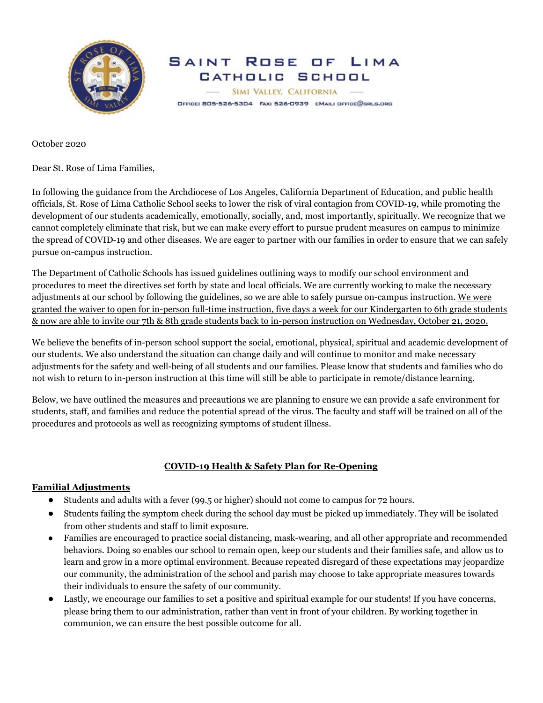

SAINT ROSE OF LIMA CATHOLIC SCHOOL SIMI VALLEY, CALIFORNIA OFFICE: BO5-526-5304 FAX: 526-0939 EMAIL: OFFICE@SRLS.ORG

October 2020

Dear St. Rose of Lima Families,

In following the guidance from the Archdiocese of Los Angeles, California Department of Education, and public health officials, St. Rose of Lima Catholic School seeks to lower the risk of viral contagion from COVID-19, while promoting the development of our students academically, emotionally, socially, and, most importantly, spiritually. We recognize that we cannot completely eliminate that risk, but we can make every effort to pursue prudent measures on campus to minimize the spread of COVID-19 and other diseases. We are eager to partner with our families in order to ensure that we can safely pursue on-campus instruction.

The Department of Catholic Schools has issued guidelines outlining ways to modify our school environment and procedures to meet the directives set forth by state and local officials. We are currently working to make the necessary adjustments at our school by following the guidelines, so we are able to safely pursue on-campus instruction. We were granted the waiver to open for in-person full-time instruction, five days a week for our Kindergarten to 6th grade students & now are able to invite our 7th & 8th grade students back to in-person instruction on Wednesday, October 21, 2020.

We believe the benefits of in-person school support the social, emotional, physical, spiritual and academic development of our students. We also understand the situation can change daily and will continue to monitor and make necessary adjustments for the safety and well-being of all students and our families. Please know that students and families who do not wish to return to in-person instruction at this time will still be able to participate in remote/distance learning.

Below, we have outlined the measures and precautions we are planning to ensure we can provide a safe environment for students, staff, and families and reduce the potential spread of the virus. The faculty and staff will be trained on all of the procedures and protocols as well as recognizing symptoms of student illness.

# **COVID-19 Health & Safety Plan for Re-Opening**

## **Familial Adjustments**

- Students and adults with a fever (99.5 or higher) should not come to campus for 72 hours.
- Students failing the symptom check during the school day must be picked up immediately. They will be isolated from other students and staff to limit exposure.
- Families are encouraged to practice social distancing, mask-wearing, and all other appropriate and recommended behaviors. Doing so enables our school to remain open, keep our students and their families safe, and allow us to learn and grow in a more optimal environment. Because repeated disregard of these expectations may jeopardize our community, the administration of the school and parish may choose to take appropriate measures towards their individuals to ensure the safety of our community.
- Lastly, we encourage our families to set a positive and spiritual example for our students! If you have concerns, please bring them to our administration, rather than vent in front of your children. By working together in communion, we can ensure the best possible outcome for all.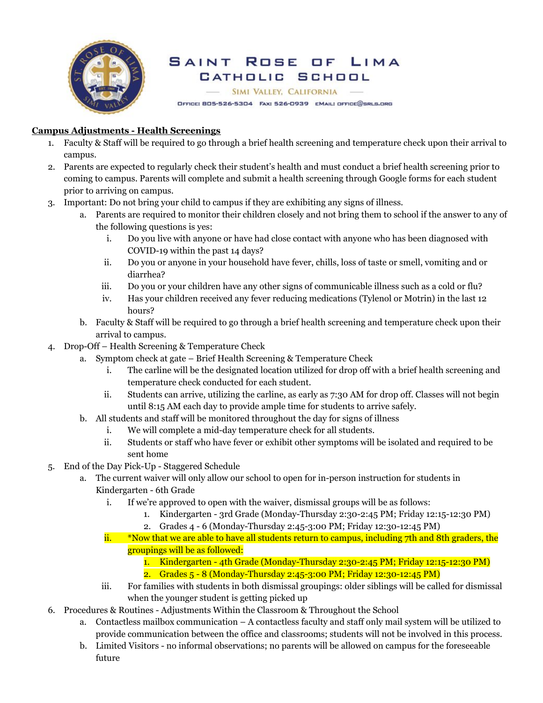

### ROSE OF SAINT LIMA CATHOLIC SCHOOL

SIMI VALLEY, CALIFORNIA

OFFICE: BO5-526-5304 FAX: 526-0939 EMAIL: OFFICE@SRLS.ORG

# **Campus Adjustments - Health Screenings**

- 1. Faculty & Staff will be required to go through a brief health screening and temperature check upon their arrival to campus.
- 2. Parents are expected to regularly check their student's health and must conduct a brief health screening prior to coming to campus. Parents will complete and submit a health screening through Google forms for each student prior to arriving on campus.
- 3. Important: Do not bring your child to campus if they are exhibiting any signs of illness.
	- a. Parents are required to monitor their children closely and not bring them to school if the answer to any of the following questions is yes:
		- i. Do you live with anyone or have had close contact with anyone who has been diagnosed with COVID-19 within the past 14 days?
		- ii. Do you or anyone in your household have fever, chills, loss of taste or smell, vomiting and or diarrhea?
		- iii. Do you or your children have any other signs of communicable illness such as a cold or flu?
		- iv. Has your children received any fever reducing medications (Tylenol or Motrin) in the last 12 hours?
	- b. Faculty & Staff will be required to go through a brief health screening and temperature check upon their arrival to campus.
- 4. Drop-Off Health Screening & Temperature Check
	- a. Symptom check at gate Brief Health Screening & Temperature Check
		- i. The carline will be the designated location utilized for drop off with a brief health screening and temperature check conducted for each student.
		- ii. Students can arrive, utilizing the carline, as early as 7:30 AM for drop off. Classes will not begin until 8:15 AM each day to provide ample time for students to arrive safely.
	- b. All students and staff will be monitored throughout the day for signs of illness
		- i. We will complete a mid-day temperature check for all students.
		- ii. Students or staff who have fever or exhibit other symptoms will be isolated and required to be sent home
- 5. End of the Day Pick-Up Staggered Schedule
	- a. The current waiver will only allow our school to open for in-person instruction for students in Kindergarten - 6th Grade
		- i. If we're approved to open with the waiver, dismissal groups will be as follows:
			- 1. Kindergarten 3rd Grade (Monday-Thursday 2:30-2:45 PM; Friday 12:15-12:30 PM)
			- 2. Grades 4 6 (Monday-Thursday 2:45-3:00 PM; Friday 12:30-12:45 PM)
		- ii. \*Now that we are able to have all students return to campus, including 7th and 8th graders, the groupings will be as followed:
			- 1. Kindergarten 4th Grade (Monday-Thursday 2:30-2:45 PM; Friday 12:15-12:30 PM) 2. Grades 5 - 8 (Monday-Thursday 2:45-3:00 PM; Friday 12:30-12:45 PM)
		- iii. For families with students in both dismissal groupings: older siblings will be called for dismissal when the younger student is getting picked up
- 6. Procedures & Routines Adjustments Within the Classroom & Throughout the School
	- a. Contactless mailbox communication A contactless faculty and staff only mail system will be utilized to provide communication between the office and classrooms; students will not be involved in this process.
	- b. Limited Visitors no informal observations; no parents will be allowed on campus for the foreseeable future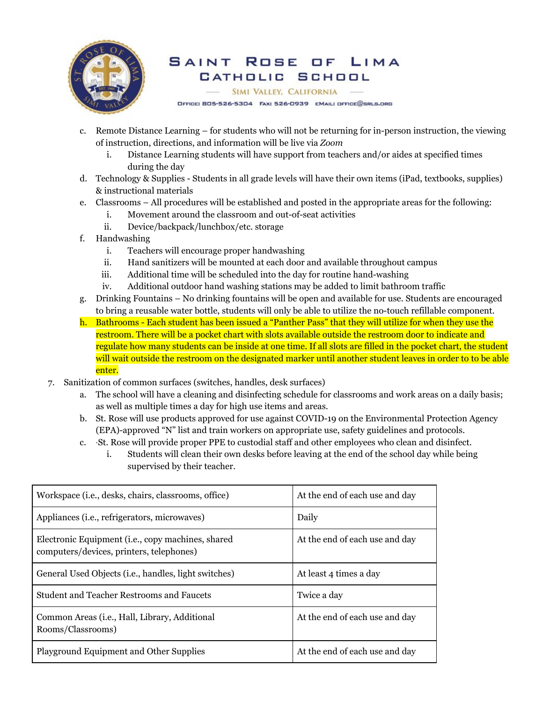

#### SAINT Rose OF LIMA CATHOLIC SCHOOL

**SIMI VALLEY, CALIFORNIA** 

OFFICE: 805-526-5304 FAX: 526-0939 EMAIL: OFFICE@BRLS.ORG

- c. Remote Distance Learning for students who will not be returning for in-person instruction, the viewing of instruction, directions, and information will be live via *Zoom*
	- i. Distance Learning students will have support from teachers and/or aides at specified times during the day
- d. Technology & Supplies Students in all grade levels will have their own items (iPad, textbooks, supplies) & instructional materials
- e. Classrooms All procedures will be established and posted in the appropriate areas for the following:
	- i. Movement around the classroom and out-of-seat activities
	- ii. Device/backpack/lunchbox/etc. storage
- f. Handwashing
	- i. Teachers will encourage proper handwashing
	- ii. Hand sanitizers will be mounted at each door and available throughout campus
	- iii. Additional time will be scheduled into the day for routine hand-washing
	- iv. Additional outdoor hand washing stations may be added to limit bathroom traffic
- g. Drinking Fountains No drinking fountains will be open and available for use. Students are encouraged to bring a reusable water bottle, students will only be able to utilize the no-touch refillable component.
- h. Bathrooms Each student has been issued a "Panther Pass" that they will utilize for when they use the restroom. There will be a pocket chart with slots available outside the restroom door to indicate and regulate how many students can be inside at one time. If all slots are filled in the pocket chart, the student will wait outside the restroom on the designated marker until another student leaves in order to to be able enter.
- 7. Sanitization of common surfaces (switches, handles, desk surfaces)
	- a. The school will have a cleaning and disinfecting schedule for classrooms and work areas on a daily basis; as well as multiple times a day for high use items and areas.
	- b. St. Rose will use products approved for use against COVID-19 on the Environmental Protection Agency (EPA)-approved "N" list and train workers on appropriate use, safety guidelines and protocols.
	- c. ·St. Rose will provide proper PPE to custodial staff and other employees who clean and disinfect.
		- i. Students will clean their own desks before leaving at the end of the school day while being supervised by their teacher.

| Workspace ( <i>i.e.</i> , desks, chairs, classrooms, office)                                           | At the end of each use and day |
|--------------------------------------------------------------------------------------------------------|--------------------------------|
| Appliances (i.e., refrigerators, microwaves)                                                           | Daily                          |
| Electronic Equipment ( <i>i.e.</i> , copy machines, shared<br>computers/devices, printers, telephones) | At the end of each use and day |
| General Used Objects ( <i>i.e.</i> , handles, light switches)                                          | At least 4 times a day         |
| <b>Student and Teacher Restrooms and Faucets</b>                                                       | Twice a day                    |
| Common Areas ( <i>i.e.</i> , Hall, Library, Additional<br>Rooms/Classrooms)                            | At the end of each use and day |
| Playground Equipment and Other Supplies                                                                | At the end of each use and day |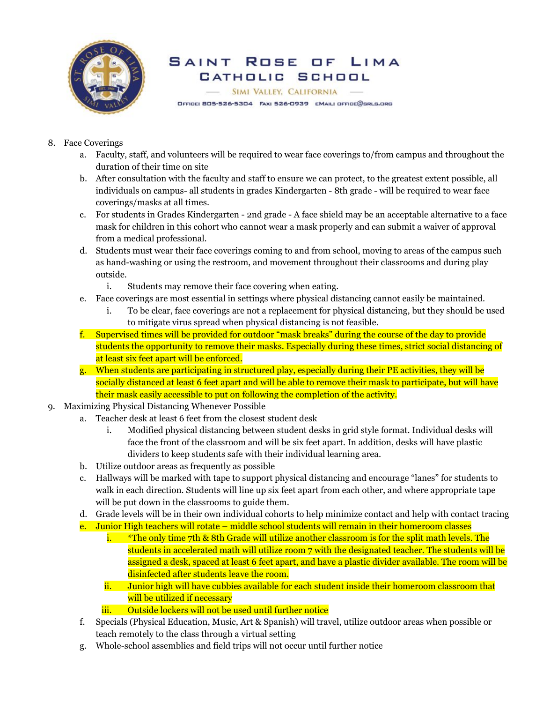

#### SAINT Rose  $\Box F$ LIMA CATHOLIC SCHOOL

SIMI VALLEY, CALIFORNIA OFFICE: BO5-526-5304 FAX: 526-0939 EMAIL: OFFICE@SRLS.ORG

- 8. Face Coverings
	- a. Faculty, staff, and volunteers will be required to wear face coverings to/from campus and throughout the duration of their time on site
	- b. After consultation with the faculty and staff to ensure we can protect, to the greatest extent possible, all individuals on campus- all students in grades Kindergarten - 8th grade - will be required to wear face coverings/masks at all times.
	- c. For students in Grades Kindergarten 2nd grade A face shield may be an acceptable alternative to a face mask for children in this cohort who cannot wear a mask properly and can submit a waiver of approval from a medical professional.
	- d. Students must wear their face coverings coming to and from school, moving to areas of the campus such as hand-washing or using the restroom, and movement throughout their classrooms and during play outside.
		- i. Students may remove their face covering when eating.
	- e. Face coverings are most essential in settings where physical distancing cannot easily be maintained.
		- i. To be clear, face coverings are not a replacement for physical distancing, but they should be used to mitigate virus spread when physical distancing is not feasible.
	- f. Supervised times will be provided for outdoor "mask breaks" during the course of the day to provide students the opportunity to remove their masks. Especially during these times, strict social distancing of at least six feet apart will be enforced.
	- g. When students are participating in structured play, especially during their PE activities, they will be socially distanced at least 6 feet apart and will be able to remove their mask to participate, but will have their mask easily accessible to put on following the completion of the activity.
- 9. Maximizing Physical Distancing Whenever Possible
	- a. Teacher desk at least 6 feet from the closest student desk
		- i. Modified physical distancing between student desks in grid style format. Individual desks will face the front of the classroom and will be six feet apart. In addition, desks will have plastic dividers to keep students safe with their individual learning area.
	- b. Utilize outdoor areas as frequently as possible
	- c. Hallways will be marked with tape to support physical distancing and encourage "lanes" for students to walk in each direction. Students will line up six feet apart from each other, and where appropriate tape will be put down in the classrooms to guide them.
	- d. Grade levels will be in their own individual cohorts to help minimize contact and help with contact tracing
	- e. Junior High teachers will rotate middle school students will remain in their homeroom classes
		- i. \*The only time 7th & 8th Grade will utilize another classroom is for the split math levels. The students in accelerated math will utilize room 7 with the designated teacher. The students will be assigned a desk, spaced at least 6 feet apart, and have a plastic divider available. The room will be disinfected after students leave the room.
		- ii. Junior high will have cubbies available for each student inside their homeroom classroom that will be utilized if necessary
		- iii. Outside lockers will not be used until further notice
	- f. Specials (Physical Education, Music, Art & Spanish) will travel, utilize outdoor areas when possible or teach remotely to the class through a virtual setting
	- g. Whole-school assemblies and field trips will not occur until further notice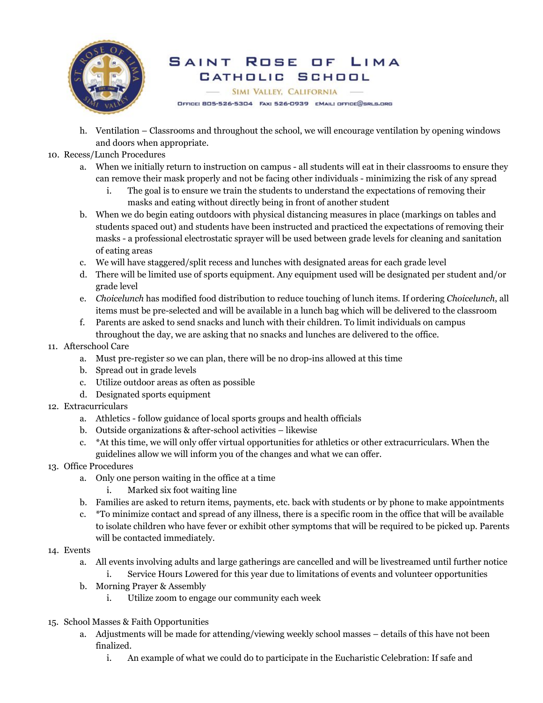

### SAINT Rose LIMA  $\Box F$ CATHOLIC SCHOOL

SIMI VALLEY, CALIFORNIA

OFFICE: BO5-526-5304 FAX: 526-0939 EMAIL: OFFICE@SRLS.ORG

- h. Ventilation Classrooms and throughout the school, we will encourage ventilation by opening windows and doors when appropriate.
- 10. Recess/Lunch Procedures
	- a. When we initially return to instruction on campus all students will eat in their classrooms to ensure they can remove their mask properly and not be facing other individuals - minimizing the risk of any spread
		- i. The goal is to ensure we train the students to understand the expectations of removing their masks and eating without directly being in front of another student
	- b. When we do begin eating outdoors with physical distancing measures in place (markings on tables and students spaced out) and students have been instructed and practiced the expectations of removing their masks - a professional electrostatic sprayer will be used between grade levels for cleaning and sanitation of eating areas
	- c. We will have staggered/split recess and lunches with designated areas for each grade level
	- d. There will be limited use of sports equipment. Any equipment used will be designated per student and/or grade level
	- e. *Choicelunch* has modified food distribution to reduce touching of lunch items. If ordering *Choicelunch*, all items must be pre-selected and will be available in a lunch bag which will be delivered to the classroom
	- f. Parents are asked to send snacks and lunch with their children. To limit individuals on campus throughout the day, we are asking that no snacks and lunches are delivered to the office.

### 11. Afterschool Care

- a. Must pre-register so we can plan, there will be no drop-ins allowed at this time
- b. Spread out in grade levels
- c. Utilize outdoor areas as often as possible
- d. Designated sports equipment
- 12. Extracurriculars
	- a. Athletics follow guidance of local sports groups and health officials
	- b. Outside organizations & after-school activities likewise
	- c. \*At this time, we will only offer virtual opportunities for athletics or other extracurriculars. When the guidelines allow we will inform you of the changes and what we can offer.
- 13. Office Procedures
	- a. Only one person waiting in the office at a time
		- i. Marked six foot waiting line
	- b. Families are asked to return items, payments, etc. back with students or by phone to make appointments
	- c. \*To minimize contact and spread of any illness, there is a specific room in the office that will be available to isolate children who have fever or exhibit other symptoms that will be required to be picked up. Parents will be contacted immediately.

### 14. Events

- a. All events involving adults and large gatherings are cancelled and will be livestreamed until further notice
	- i. Service Hours Lowered for this year due to limitations of events and volunteer opportunities
- b. Morning Prayer & Assembly
	- i. Utilize zoom to engage our community each week
- 15. School Masses & Faith Opportunities
	- a. Adjustments will be made for attending/viewing weekly school masses details of this have not been finalized.
		- i. An example of what we could do to participate in the Eucharistic Celebration: If safe and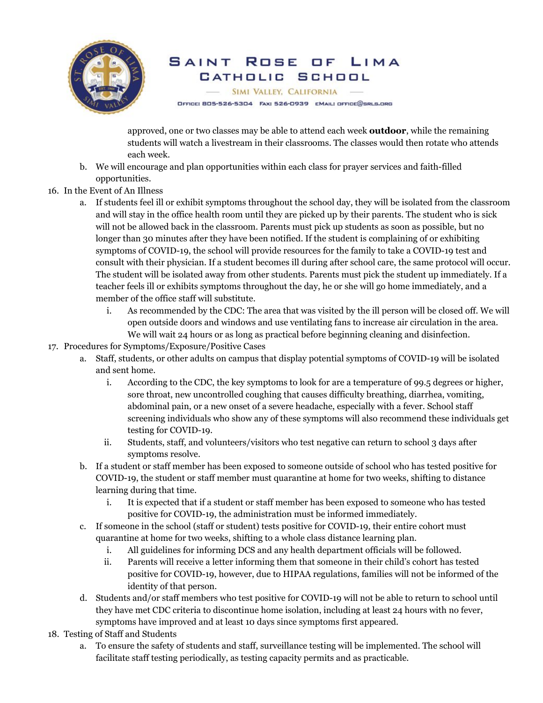

### Rose SAINT  $\Box F$ LIMA CATHOLIC SCHOOL

SIMI VALLEY, CALIFORNIA

OFFICE: 805-526-5304 FAX: 526-0939 EMAIL: OFFICE@SRLS.ORG

approved, one or two classes may be able to attend each week **outdoor**, while the remaining students will watch a livestream in their classrooms. The classes would then rotate who attends each week.

- b. We will encourage and plan opportunities within each class for prayer services and faith-filled opportunities.
- 16. In the Event of An Illness
	- a. If students feel ill or exhibit symptoms throughout the school day, they will be isolated from the classroom and will stay in the office health room until they are picked up by their parents. The student who is sick will not be allowed back in the classroom. Parents must pick up students as soon as possible, but no longer than 30 minutes after they have been notified. If the student is complaining of or exhibiting symptoms of COVID-19, the school will provide resources for the family to take a COVID-19 test and consult with their physician. If a student becomes ill during after school care, the same protocol will occur. The student will be isolated away from other students. Parents must pick the student up immediately. If a teacher feels ill or exhibits symptoms throughout the day, he or she will go home immediately, and a member of the office staff will substitute.
		- i. As recommended by the CDC: The area that was visited by the ill person will be closed off. We will open outside doors and windows and use ventilating fans to increase air circulation in the area. We will wait 24 hours or as long as practical before beginning cleaning and disinfection.
- 17. Procedures for Symptoms/Exposure/Positive Cases
	- a. Staff, students, or other adults on campus that display potential symptoms of COVID-19 will be isolated and sent home.
		- i. According to the CDC, the key symptoms to look for are a temperature of 99.5 degrees or higher, sore throat, new uncontrolled coughing that causes difficulty breathing, diarrhea, vomiting, abdominal pain, or a new onset of a severe headache, especially with a fever. School staff screening individuals who show any of these symptoms will also recommend these individuals get testing for COVID-19.
		- ii. Students, staff, and volunteers/visitors who test negative can return to school 3 days after symptoms resolve.
	- b. If a student or staff member has been exposed to someone outside of school who has tested positive for COVID-19, the student or staff member must quarantine at home for two weeks, shifting to distance learning during that time.
		- i. It is expected that if a student or staff member has been exposed to someone who has tested positive for COVID-19, the administration must be informed immediately.
	- c. If someone in the school (staff or student) tests positive for COVID-19, their entire cohort must quarantine at home for two weeks, shifting to a whole class distance learning plan.
		- i. All guidelines for informing DCS and any health department officials will be followed.
		- ii. Parents will receive a letter informing them that someone in their child's cohort has tested positive for COVID-19, however, due to HIPAA regulations, families will not be informed of the identity of that person.
	- d. Students and/or staff members who test positive for COVID-19 will not be able to return to school until they have met CDC criteria to discontinue home isolation, including at least 24 hours with no fever, symptoms have improved and at least 10 days since symptoms first appeared.
- 18. Testing of Staff and Students
	- a. To ensure the safety of students and staff, surveillance testing will be implemented. The school will facilitate staff testing periodically, as testing capacity permits and as practicable.